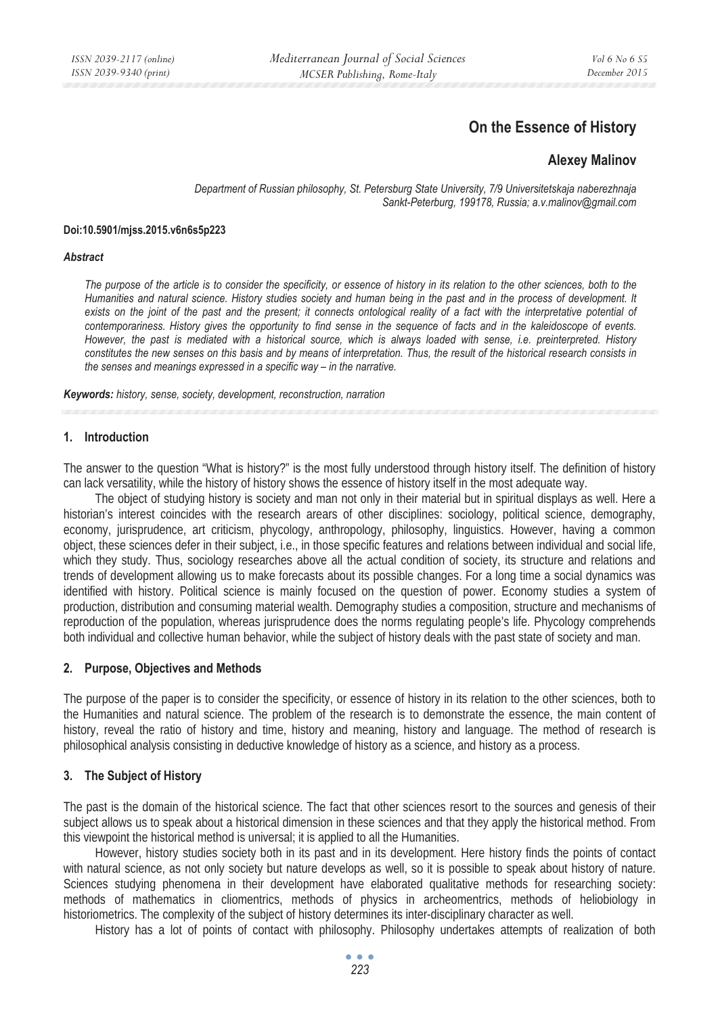# **On the Essence of History**

# **Alexey Malinov**

*Department of Russian philosophy, St. Petersburg State University, 7/9 Universitetskaja naberezhnaja Sankt-Peterburg, 199178, Russia; a.v.malinov@gmail.com* 

#### **Doi:10.5901/mjss.2015.v6n6s5p223**

#### *Abstract*

*The purpose of the article is to consider the specificity, or essence of history in its relation to the other sciences, both to the Humanities and natural science. History studies society and human being in the past and in the process of development. It exists on the joint of the past and the present; it connects ontological reality of a fact with the interpretative potential of contemporariness. History gives the opportunity to find sense in the sequence of facts and in the kaleidoscope of events. However, the past is mediated with a historical source, which is always loaded with sense, i.e. preinterpreted. History constitutes the new senses on this basis and by means of interpretation. Thus, the result of the historical research consists in the senses and meanings expressed in a specific way – in the narrative.* 

*Keywords: history, sense, society, development, reconstruction, narration*

#### **1. Introduction**

The answer to the question "What is history?" is the most fully understood through history itself. The definition of history can lack versatility, while the history of history shows the essence of history itself in the most adequate way.

The object of studying history is society and man not only in their material but in spiritual displays as well. Here a historian's interest coincides with the research arears of other disciplines: sociology, political science, demography, economy, jurisprudence, art criticism, phycology, anthropology, philosophy, linguistics. However, having a common object, these sciences defer in their subject, i.e., in those specific features and relations between individual and social life, which they study. Thus, sociology researches above all the actual condition of society, its structure and relations and trends of development allowing us to make forecasts about its possible changes. For a long time a social dynamics was identified with history. Political science is mainly focused on the question of power. Economy studies a system of production, distribution and consuming material wealth. Demography studies a composition, structure and mechanisms of reproduction of the population, whereas jurisprudence does the norms regulating people's life. Phycology comprehends both individual and collective human behavior, while the subject of history deals with the past state of society and man.

### **2. Purpose, Objectives and Methods**

The purpose of the paper is to consider the specificity, or essence of history in its relation to the other sciences, both to the Humanities and natural science. The problem of the research is to demonstrate the essence, the main content of history, reveal the ratio of history and time, history and meaning, history and language. The method of research is philosophical analysis consisting in deductive knowledge of history as a science, and history as a process.

### **3. The Subject of History**

The past is the domain of the historical science. The fact that other sciences resort to the sources and genesis of their subject allows us to speak about a historical dimension in these sciences and that they apply the historical method. From this viewpoint the historical method is universal; it is applied to all the Humanities.

However, history studies society both in its past and in its development. Here history finds the points of contact with natural science, as not only society but nature develops as well, so it is possible to speak about history of nature. Sciences studying phenomena in their development have elaborated qualitative methods for researching society: methods of mathematics in cliomentrics, methods of physics in archeomentrics, methods of heliobiology in historiometrics. The complexity of the subject of history determines its inter-disciplinary character as well.

History has a lot of points of contact with philosophy. Philosophy undertakes attempts of realization of both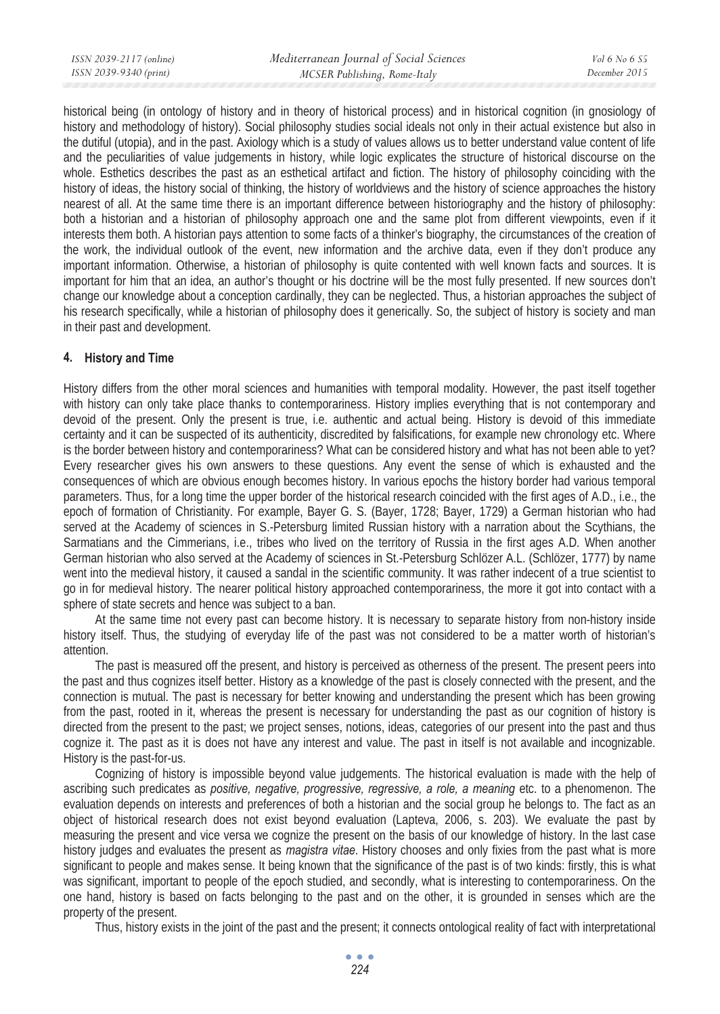| ISSN 2039-2117 (online) | Mediterranean Journal of Social Sciences | <i>Vol</i> 6 No 6 S5 |
|-------------------------|------------------------------------------|----------------------|
| ISSN 2039-9340 (print)  | MCSER Publishing, Rome-Italy             | December 2015        |
|                         |                                          |                      |

historical being (in ontology of history and in theory of historical process) and in historical cognition (in gnosiology of history and methodology of history). Social philosophy studies social ideals not only in their actual existence but also in the dutiful (utopia), and in the past. Axiology which is a study of values allows us to better understand value content of life and the peculiarities of value judgements in history, while logic explicates the structure of historical discourse on the whole. Esthetics describes the past as an esthetical artifact and fiction. The history of philosophy coinciding with the history of ideas, the history social of thinking, the history of worldviews and the history of science approaches the history nearest of all. At the same time there is an important difference between historiography and the history of philosophy: both a historian and a historian of philosophy approach one and the same plot from different viewpoints, even if it interests them both. A historian pays attention to some facts of a thinker's biography, the circumstances of the creation of the work, the individual outlook of the event, new information and the archive data, even if they don't produce any important information. Otherwise, a historian of philosophy is quite contented with well known facts and sources. It is important for him that an idea, an author's thought or his doctrine will be the most fully presented. If new sources don't change our knowledge about a conception cardinally, they can be neglected. Thus, a historian approaches the subject of his research specifically, while a historian of philosophy does it generically. So, the subject of history is society and man in their past and development.

### **4. History and Time**

History differs from the other moral sciences and humanities with temporal modality. However, the past itself together with history can only take place thanks to contemporariness. History implies everything that is not contemporary and devoid of the present. Only the present is true, i.e. authentic and actual being. History is devoid of this immediate certainty and it can be suspected of its authenticity, discredited by falsifications, for example new chronology etc. Where is the border between history and contemporariness? What can be considered history and what has not been able to yet? Every researcher gives his own answers to these questions. Any event the sense of which is exhausted and the consequences of which are obvious enough becomes history. In various epochs the history border had various temporal parameters. Thus, for a long time the upper border of the historical research coincided with the first ages of A.D., i.e., the epoch of formation of Christianity. For example, Bayer G. S. (Bayer, 1728; Bayer, 1729) a German historian who had served at the Academy of sciences in S.-Petersburg limited Russian history with a narration about the Scythians, the Sarmatians and the Cimmerians, i.e., tribes who lived on the territory of Russia in the first ages A.D. When another German historian who also served at the Academy of sciences in St.-Petersburg Schlözer A.L. (Schlözer, 1777) by name went into the medieval history, it caused a sandal in the scientific community. It was rather indecent of a true scientist to go in for medieval history. The nearer political history approached contemporariness, the more it got into contact with a sphere of state secrets and hence was subject to a ban.

At the same time not every past can become history. It is necessary to separate history from non-history inside history itself. Thus, the studying of everyday life of the past was not considered to be a matter worth of historian's attention.

The past is measured off the present, and history is perceived as otherness of the present. The present peers into the past and thus cognizes itself better. History as a knowledge of the past is closely connected with the present, and the connection is mutual. The past is necessary for better knowing and understanding the present which has been growing from the past, rooted in it, whereas the present is necessary for understanding the past as our cognition of history is directed from the present to the past; we project senses, notions, ideas, categories of our present into the past and thus cognize it. The past as it is does not have any interest and value. The past in itself is not available and incognizable. History is the past-for-us.

Cognizing of history is impossible beyond value judgements. The historical evaluation is made with the help of ascribing such predicates as *positive, negative, progressive, regressive, a role, a meaning* etc. to a phenomenon. The evaluation depends on interests and preferences of both a historian and the social group he belongs to. The fact as an object of historical research does not exist beyond evaluation (Lapteva, 2006, s. 203). We evaluate the past by measuring the present and vice versa we cognize the present on the basis of our knowledge of history. In the last case history judges and evaluates the present as *magistra vitae*. History chooses and only fixies from the past what is more significant to people and makes sense. It being known that the significance of the past is of two kinds: firstly, this is what was significant, important to people of the epoch studied, and secondly, what is interesting to contemporariness. On the one hand, history is based on facts belonging to the past and on the other, it is grounded in senses which are the property of the present.

Thus, history exists in the joint of the past and the present; it connects ontological reality of fact with interpretational

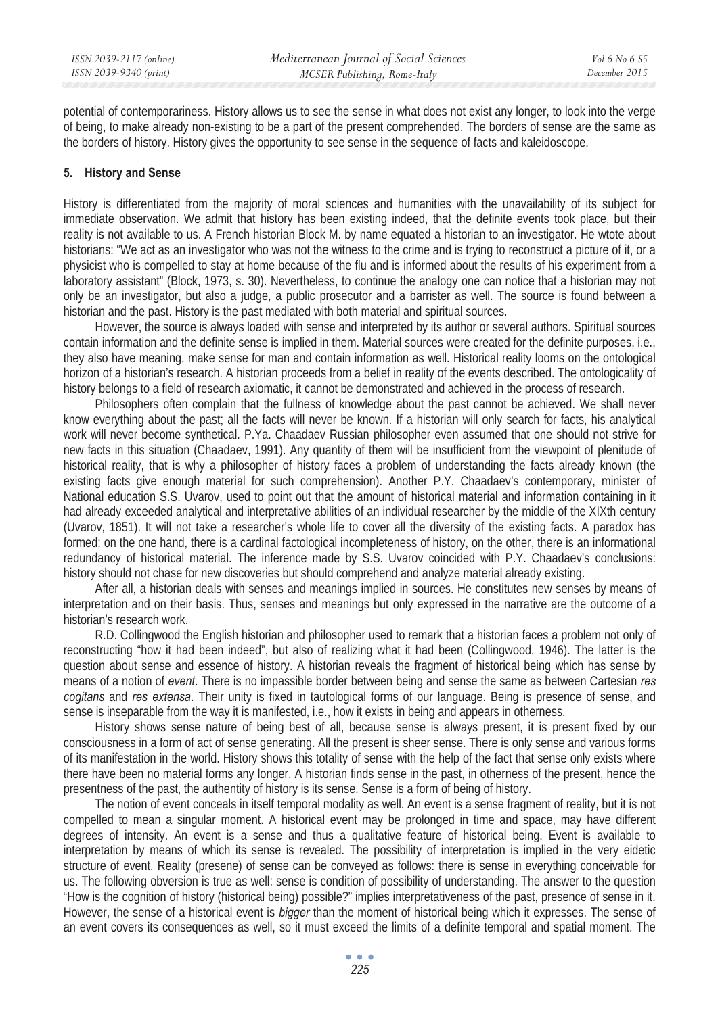potential of contemporariness. History allows us to see the sense in what does not exist any longer, to look into the verge of being, to make already non-existing to be a part of the present comprehended. The borders of sense are the same as the borders of history. History gives the opportunity to see sense in the sequence of facts and kaleidoscope.

# **5. History and Sense**

History is differentiated from the majority of moral sciences and humanities with the unavailability of its subject for immediate observation. We admit that history has been existing indeed, that the definite events took place, but their reality is not available to us. A French historian Block M. by name equated a historian to an investigator. He wtote about historians: "We act as an investigator who was not the witness to the crime and is trying to reconstruct a picture of it, or a physicist who is compelled to stay at home because of the flu and is informed about the results of his experiment from a laboratory assistant" (Block, 1973, s. 30). Nevertheless, to continue the analogy one can notice that a historian may not only be an investigator, but also a judge, a public prosecutor and a barrister as well. The source is found between a historian and the past. History is the past mediated with both material and spiritual sources.

However, the source is always loaded with sense and interpreted by its author or several authors. Spiritual sources contain information and the definite sense is implied in them. Material sources were created for the definite purposes, i.e., they also have meaning, make sense for man and contain information as well. Historical reality looms on the ontological horizon of a historian's research. A historian proceeds from a belief in reality of the events described. The ontologicality of history belongs to a field of research axiomatic, it cannot be demonstrated and achieved in the process of research.

Philosophers often complain that the fullness of knowledge about the past cannot be achieved. We shall never know everything about the past; all the facts will never be known. If a historian will only search for facts, his analytical work will never become synthetical. P.Ya. Chaadaev Russian philosopher even assumed that one should not strive for new facts in this situation (Chaadaev, 1991). Any quantity of them will be insufficient from the viewpoint of plenitude of historical reality, that is why a philosopher of history faces a problem of understanding the facts already known (the existing facts give enough material for such comprehension). Another P.Y. Chaadaev's contemporary, minister of National education S.S. Uvarov, used to point out that the amount of historical material and information containing in it had already exceeded analytical and interpretative abilities of an individual researcher by the middle of the XIXth century (Uvarov, 1851). It will not take a researcher's whole life to cover all the diversity of the existing facts. A paradox has formed: on the one hand, there is a cardinal factological incompleteness of history, on the other, there is an informational redundancy of historical material. The inference made by S.S. Uvarov coincided with P.Y. Chaadaev's conclusions: history should not chase for new discoveries but should comprehend and analyze material already existing.

After all, a historian deals with senses and meanings implied in sources. He constitutes new senses by means of interpretation and on their basis. Thus, senses and meanings but only expressed in the narrative are the outcome of a historian's research work.

R.D. Collingwood the English historian and philosopher used to remark that a historian faces a problem not only of reconstructing "how it had been indeed", but also of realizing what it had been (Collingwood, 1946). The latter is the question about sense and essence of history. A historian reveals the fragment of historical being which has sense by means of a notion of *event*. There is no impassible border between being and sense the same as between Cartesian *res cogitans* and *res extensa*. Their unity is fixed in tautological forms of our language. Being is presence of sense, and sense is inseparable from the way it is manifested, i.e., how it exists in being and appears in otherness.

History shows sense nature of being best of all, because sense is always present, it is present fixed by our consciousness in a form of act of sense generating. All the present is sheer sense. There is only sense and various forms of its manifestation in the world. History shows this totality of sense with the help of the fact that sense only exists where there have been no material forms any longer. A historian finds sense in the past, in otherness of the present, hence the presentness of the past, the authentity of history is its sense. Sense is a form of being of history.

The notion of event conceals in itself temporal modality as well. An event is a sense fragment of reality, but it is not compelled to mean a singular moment. A historical event may be prolonged in time and space, may have different degrees of intensity. An event is a sense and thus a qualitative feature of historical being. Event is available to interpretation by means of which its sense is revealed. The possibility of interpretation is implied in the very eidetic structure of event. Reality (presene) of sense can be conveyed as follows: there is sense in everything conceivable for us. The following obversion is true as well: sense is condition of possibility of understanding. The answer to the question "How is the cognition of history (historical being) possible?" implies interpretativeness of the past, presence of sense in it. However, the sense of a historical event is *bigger* than the moment of historical being which it expresses. The sense of an event covers its consequences as well, so it must exceed the limits of a definite temporal and spatial moment. The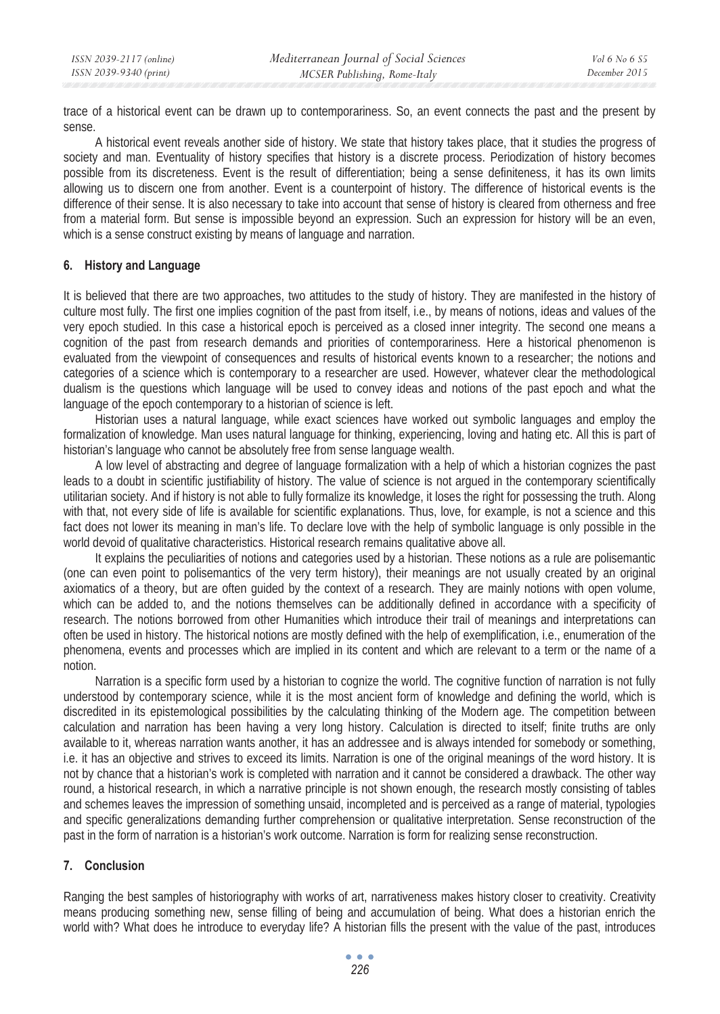trace of a historical event can be drawn up to contemporariness. So, an event connects the past and the present by sense.

A historical event reveals another side of history. We state that history takes place, that it studies the progress of society and man. Eventuality of history specifies that history is a discrete process. Periodization of history becomes possible from its discreteness. Event is the result of differentiation; being a sense definiteness, it has its own limits allowing us to discern one from another. Event is a counterpoint of history. The difference of historical events is the difference of their sense. It is also necessary to take into account that sense of history is cleared from otherness and free from a material form. But sense is impossible beyond an expression. Such an expression for history will be an even, which is a sense construct existing by means of language and narration.

## **6. History and Language**

It is believed that there are two approaches, two attitudes to the study of history. They are manifested in the history of culture most fully. The first one implies cognition of the past from itself, i.e., by means of notions, ideas and values of the very epoch studied. In this case a historical epoch is perceived as a closed inner integrity. The second one means a cognition of the past from research demands and priorities of contemporariness. Here a historical phenomenon is evaluated from the viewpoint of consequences and results of historical events known to a researcher; the notions and categories of a science which is contemporary to a researcher are used. However, whatever clear the methodological dualism is the questions which language will be used to convey ideas and notions of the past epoch and what the language of the epoch contemporary to a historian of science is left.

Historian uses a natural language, while exact sciences have worked out symbolic languages and employ the formalization of knowledge. Man uses natural language for thinking, experiencing, loving and hating etc. All this is part of historian's language who cannot be absolutely free from sense language wealth.

A low level of abstracting and degree of language formalization with a help of which a historian cognizes the past leads to a doubt in scientific justifiability of history. The value of science is not argued in the contemporary scientifically utilitarian society. And if history is not able to fully formalize its knowledge, it loses the right for possessing the truth. Along with that, not every side of life is available for scientific explanations. Thus, love, for example, is not a science and this fact does not lower its meaning in man's life. To declare love with the help of symbolic language is only possible in the world devoid of qualitative characteristics. Historical research remains qualitative above all.

It explains the peculiarities of notions and categories used by a historian. These notions as a rule are polisemantic (one can even point to polisemantics of the very term history), their meanings are not usually created by an original axiomatics of a theory, but are often guided by the context of a research. They are mainly notions with open volume, which can be added to, and the notions themselves can be additionally defined in accordance with a specificity of research. The notions borrowed from other Humanities which introduce their trail of meanings and interpretations can often be used in history. The historical notions are mostly defined with the help of exemplification, i.e., enumeration of the phenomena, events and processes which are implied in its content and which are relevant to a term or the name of a notion.

Narration is a specific form used by a historian to cognize the world. The cognitive function of narration is not fully understood by contemporary science, while it is the most ancient form of knowledge and defining the world, which is discredited in its epistemological possibilities by the calculating thinking of the Modern age. The competition between calculation and narration has been having a very long history. Calculation is directed to itself; finite truths are only available to it, whereas narration wants another, it has an addressee and is always intended for somebody or something, i.e. it has an objective and strives to exceed its limits. Narration is one of the original meanings of the word history. It is not by chance that a historian's work is completed with narration and it cannot be considered a drawback. The other way round, a historical research, in which a narrative principle is not shown enough, the research mostly consisting of tables and schemes leaves the impression of something unsaid, incompleted and is perceived as a range of material, typologies and specific generalizations demanding further comprehension or qualitative interpretation. Sense reconstruction of the past in the form of narration is a historian's work outcome. Narration is form for realizing sense reconstruction.

# **7. Conclusion**

Ranging the best samples of historiography with works of art, narrativeness makes history closer to creativity. Creativity means producing something new, sense filling of being and accumulation of being. What does a historian enrich the world with? What does he introduce to everyday life? A historian fills the present with the value of the past, introduces